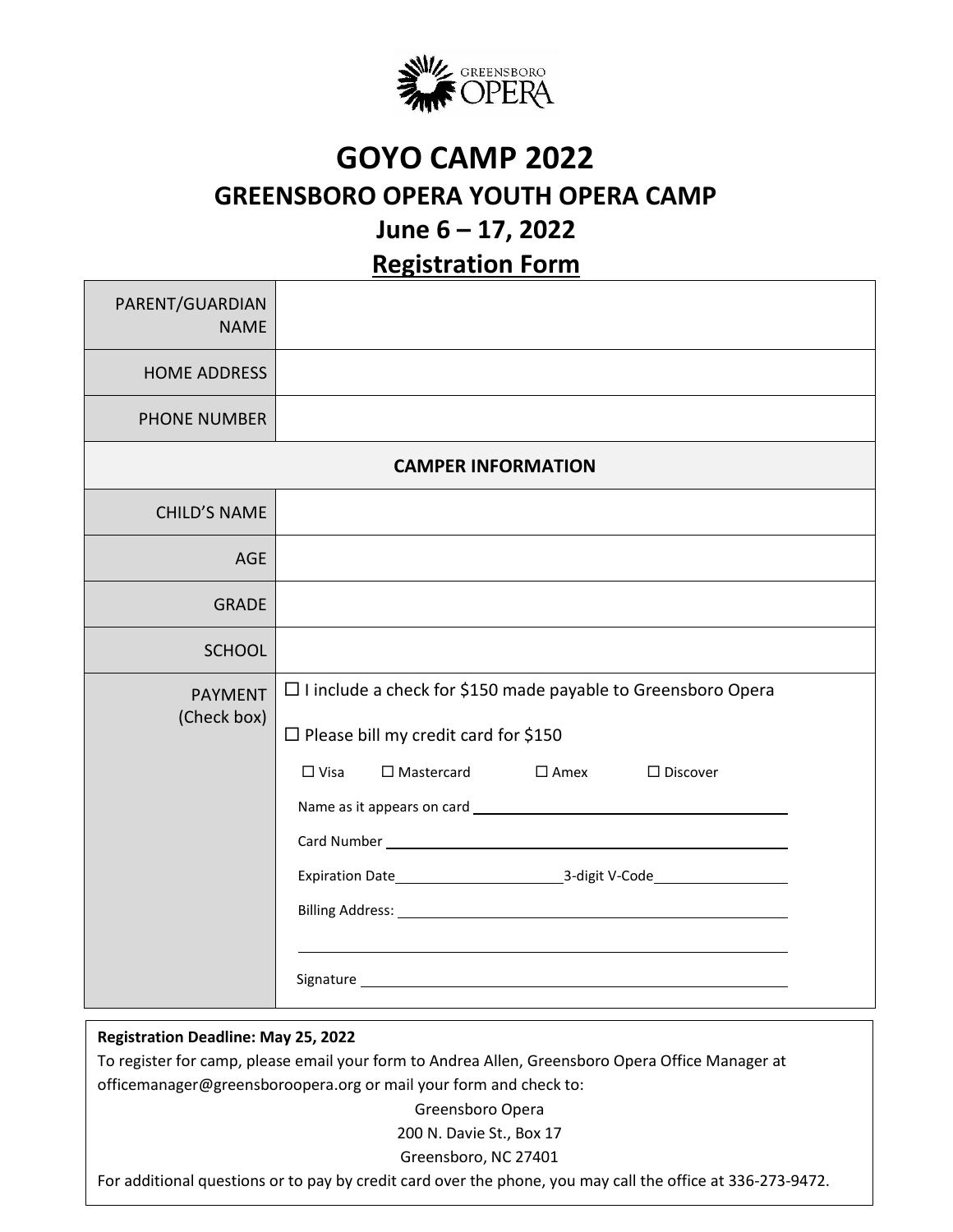

## **GOYO CAMP 2022 GREENSBORO OPERA YOUTH OPERA CAMP June 6 – 17, 2022**

**Registration Form**

| PARENT/GUARDIAN<br><b>NAME</b> |                                                                                                                                                                                                                                                                                                                                                                                                                                                                                                                                                                                                                                                                    |
|--------------------------------|--------------------------------------------------------------------------------------------------------------------------------------------------------------------------------------------------------------------------------------------------------------------------------------------------------------------------------------------------------------------------------------------------------------------------------------------------------------------------------------------------------------------------------------------------------------------------------------------------------------------------------------------------------------------|
| <b>HOME ADDRESS</b>            |                                                                                                                                                                                                                                                                                                                                                                                                                                                                                                                                                                                                                                                                    |
| <b>PHONE NUMBER</b>            |                                                                                                                                                                                                                                                                                                                                                                                                                                                                                                                                                                                                                                                                    |
| <b>CAMPER INFORMATION</b>      |                                                                                                                                                                                                                                                                                                                                                                                                                                                                                                                                                                                                                                                                    |
| <b>CHILD'S NAME</b>            |                                                                                                                                                                                                                                                                                                                                                                                                                                                                                                                                                                                                                                                                    |
| <b>AGE</b>                     |                                                                                                                                                                                                                                                                                                                                                                                                                                                                                                                                                                                                                                                                    |
| <b>GRADE</b>                   |                                                                                                                                                                                                                                                                                                                                                                                                                                                                                                                                                                                                                                                                    |
| <b>SCHOOL</b>                  |                                                                                                                                                                                                                                                                                                                                                                                                                                                                                                                                                                                                                                                                    |
| <b>PAYMENT</b><br>(Check box)  | $\Box$ I include a check for \$150 made payable to Greensboro Opera<br>$\Box$ Please bill my credit card for \$150<br>$\Box$ Mastercard<br>$\square$ Amex<br>$\Box$ Visa<br>$\square$ Discover<br>Expiration Date Case Case Contact Management Contact Mercury 2-digit V-Code Case Contact Mercury 2-digit V-Code Case Contact Mercury 2-digit V-Code Case Contact Mercury 2-digit V-Code Case Contact Mercury 2-digit V-Code Ca<br>Signature experience and the state of the state of the state of the state of the state of the state of the state of the state of the state of the state of the state of the state of the state of the state of the state of th |

. **Registration Deadline: May 25, 2022**

To register for camp, please email your form to Andrea Allen, Greensboro Opera Office Manager at officemanager@greensboroopera.org or mail your form and check to:

Greensboro Opera

200 N. Davie St., Box 17

Greensboro, NC 27401

For additional questions or to pay by credit card over the phone, you may call the office at 336-273-9472.